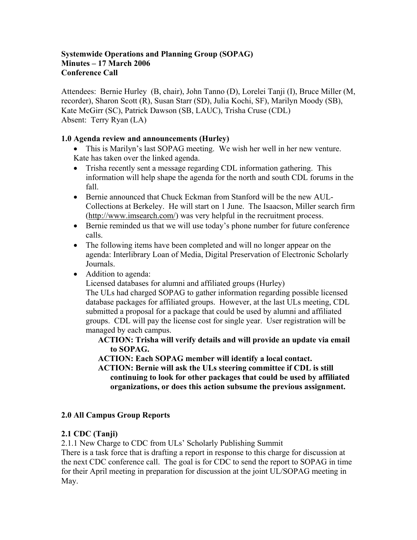## **Systemwide Operations and Planning Group (SOPAG) Minutes – 17 March 2006 Conference Call**

Attendees: Bernie Hurley (B, chair), John Tanno (D), Lorelei Tanji (I), Bruce Miller (M, recorder), Sharon Scott (R), Susan Starr (SD), Julia Kochi, SF), Marilyn Moody (SB), Kate McGirr (SC), Patrick Dawson (SB, LAUC), Trisha Cruse (CDL) Absent: Terry Ryan (LA)

# **1.0 Agenda review and announcements (Hurley)**

• This is Marilyn's last SOPAG meeting. We wish her well in her new venture. Kate has taken over the linked agenda.

- Trisha recently sent a message regarding CDL information gathering. This information will help shape the agenda for the north and south CDL forums in the fall.
- Bernie announced that Chuck Eckman from Stanford will be the new AUL-Collections at Berkeley. He will start on 1 June. The Isaacson, Miller search firm ([http://www.imsearch.com/\)](http://www.imsearch.com/) was very helpful in the recruitment process.
- Bernie reminded us that we will use today's phone number for future conference calls.
- The following items have been completed and will no longer appear on the agenda: Interlibrary Loan of Media, Digital Preservation of Electronic Scholarly Journals.
- Addition to agenda:

Licensed databases for alumni and affiliated groups (Hurley)

The ULs had charged SOPAG to gather information regarding possible licensed database packages for affiliated groups. However, at the last ULs meeting, CDL submitted a proposal for a package that could be used by alumni and affiliated groups. CDL will pay the license cost for single year. User registration will be managed by each campus.

## **ACTION: Trisha will verify details and will provide an update via email to SOPAG.**

**ACTION: Each SOPAG member will identify a local contact.**

**ACTION: Bernie will ask the ULs steering committee if CDL is still continuing to look for other packages that could be used by affiliated organizations, or does this action subsume the previous assignment.**

## **2.0 All Campus Group Reports**

# **2.1 CDC (Tanji)**

2.1.1 New Charge to CDC from ULs' Scholarly Publishing Summit

There is a task force that is drafting a report in response to this charge for discussion at the next CDC conference call. The goal is for CDC to send the report to SOPAG in time for their April meeting in preparation for discussion at the joint UL/SOPAG meeting in May.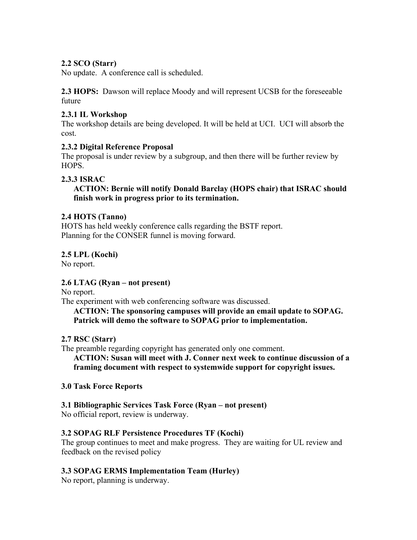# **2.2 SCO (Starr)**

No update. A conference call is scheduled.

**2.3 HOPS:** Dawson will replace Moody and will represent UCSB for the foreseeable future

## **2.3.1 IL Workshop**

The workshop details are being developed. It will be held at UCI. UCI will absorb the cost.

## **2.3.2 Digital Reference Proposal**

The proposal is under review by a subgroup, and then there will be further review by HOPS.

## **2.3.3 ISRAC**

**ACTION: Bernie will notify Donald Barclay (HOPS chair) that ISRAC should finish work in progress prior to its termination.**

### **2.4 HOTS (Tanno)**

HOTS has held weekly conference calls regarding the BSTF report. Planning for the CONSER funnel is moving forward.

### **2.5 LPL (Kochi)**

No report.

## **2.6 LTAG (Ryan – not present)**

No report.

The experiment with web conferencing software was discussed.

**ACTION: The sponsoring campuses will provide an email update to SOPAG. Patrick will demo the software to SOPAG prior to implementation.**

## **2.7 RSC (Starr)**

The preamble regarding copyright has generated only one comment.

**ACTION: Susan will meet with J. Conner next week to continue discussion of a framing document with respect to systemwide support for copyright issues.**

## **3.0 Task Force Reports**

**3.1 Bibliographic Services Task Force (Ryan – not present)**

No official report, review is underway.

## **3.2 SOPAG RLF Persistence Procedures TF (Kochi)**

The group continues to meet and make progress. They are waiting for UL review and feedback on the revised policy

## **3.3 SOPAG ERMS Implementation Team (Hurley)**

No report, planning is underway.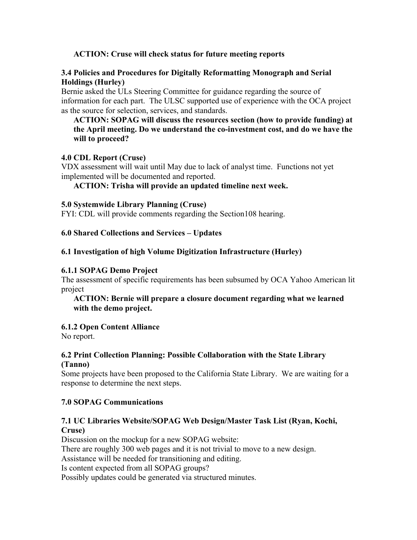### **ACTION: Cruse will check status for future meeting reports**

### **3.4 Policies and Procedures for Digitally Reformatting Monograph and Serial Holdings (Hurley)**

Bernie asked the ULs Steering Committee for guidance regarding the source of information for each part. The ULSC supported use of experience with the OCA project as the source for selection, services, and standards.

#### **ACTION: SOPAG will discuss the resources section (how to provide funding) at the April meeting. Do we understand the co-investment cost, and do we have the will to proceed?**

#### **4.0 CDL Report (Cruse)**

VDX assessment will wait until May due to lack of analyst time. Functions not yet implemented will be documented and reported.

### **ACTION: Trisha will provide an updated timeline next week.**

#### **5.0 Systemwide Library Planning (Cruse)**

FYI: CDL will provide comments regarding the Section108 hearing.

### **6.0 Shared Collections and Services – Updates**

### **6.1 Investigation of high Volume Digitization Infrastructure (Hurley)**

#### **6.1.1 SOPAG Demo Project**

The assessment of specific requirements has been subsumed by OCA Yahoo American lit project

### **ACTION: Bernie will prepare a closure document regarding what we learned with the demo project.**

#### **6.1.2 Open Content Alliance**

No report.

### **6.2 Print Collection Planning: Possible Collaboration with the State Library (Tanno)**

Some projects have been proposed to the California State Library. We are waiting for a response to determine the next steps.

## **7.0 SOPAG Communications**

## **7.1 UC Libraries Website/SOPAG Web Design/Master Task List (Ryan, Kochi, Cruse)**

Discussion on the mockup for a new SOPAG website: There are roughly 300 web pages and it is not trivial to move to a new design. Assistance will be needed for transitioning and editing. Is content expected from all SOPAG groups? Possibly updates could be generated via structured minutes.